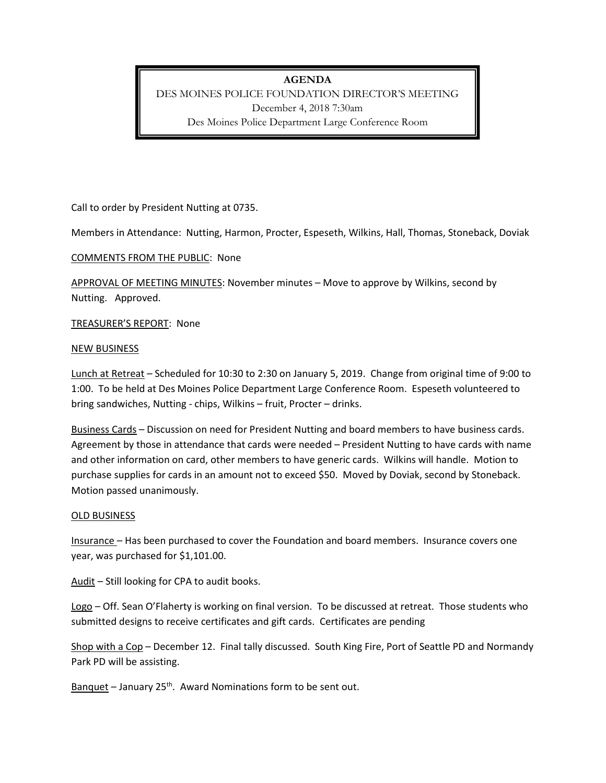# **AGENDA**

DES MOINES POLICE FOUNDATION DIRECTOR'S MEETING December 4, 2018 7:30am Des Moines Police Department Large Conference Room

Call to order by President Nutting at 0735.

Members in Attendance: Nutting, Harmon, Procter, Espeseth, Wilkins, Hall, Thomas, Stoneback, Doviak

### COMMENTS FROM THE PUBLIC: None

APPROVAL OF MEETING MINUTES: November minutes – Move to approve by Wilkins, second by Nutting. Approved.

TREASURER'S REPORT: None

### NEW BUSINESS

Lunch at Retreat – Scheduled for 10:30 to 2:30 on January 5, 2019. Change from original time of 9:00 to 1:00. To be held at Des Moines Police Department Large Conference Room. Espeseth volunteered to bring sandwiches, Nutting - chips, Wilkins – fruit, Procter – drinks.

Business Cards – Discussion on need for President Nutting and board members to have business cards. Agreement by those in attendance that cards were needed – President Nutting to have cards with name and other information on card, other members to have generic cards. Wilkins will handle. Motion to purchase supplies for cards in an amount not to exceed \$50. Moved by Doviak, second by Stoneback. Motion passed unanimously.

#### OLD BUSINESS

Insurance – Has been purchased to cover the Foundation and board members. Insurance covers one year, was purchased for \$1,101.00.

Audit – Still looking for CPA to audit books.

Logo – Off. Sean O'Flaherty is working on final version. To be discussed at retreat. Those students who submitted designs to receive certificates and gift cards. Certificates are pending

Shop with a Cop – December 12. Final tally discussed. South King Fire, Port of Seattle PD and Normandy Park PD will be assisting.

Banquet – January  $25<sup>th</sup>$ . Award Nominations form to be sent out.